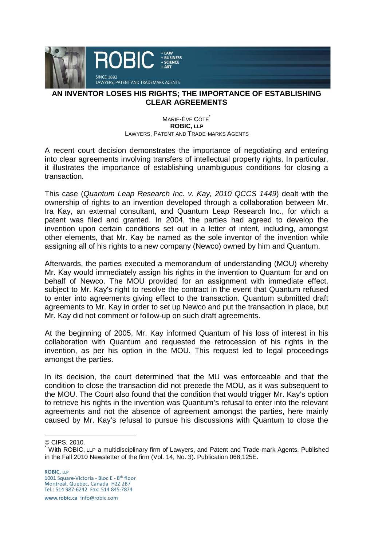

## **AN INVENTOR LOSES HIS RIGHTS; THE IMPORTANCE OF ESTABLISHING CLEAR AGREEMENTS**

## MARIE-ÈVE CÔTÉ **ROBIC, LLP** LAWYERS, PATENT AND TRADE-MARKS AGENTS

A recent court decision demonstrates the importance of negotiating and entering into clear agreements involving transfers of intellectual property rights. In particular, it illustrates the importance of establishing unambiguous conditions for closing a transaction.

This case (Quantum Leap Research Inc. v. Kay, 2010 QCCS 1449) dealt with the ownership of rights to an invention developed through a collaboration between Mr. Ira Kay, an external consultant, and Quantum Leap Research Inc., for which a patent was filed and granted. In 2004, the parties had agreed to develop the invention upon certain conditions set out in a letter of intent, including, amongst other elements, that Mr. Kay be named as the sole inventor of the invention while assigning all of his rights to a new company (Newco) owned by him and Quantum.

Afterwards, the parties executed a memorandum of understanding (MOU) whereby Mr. Kay would immediately assign his rights in the invention to Quantum for and on behalf of Newco. The MOU provided for an assignment with immediate effect, subject to Mr. Kay's right to resolve the contract in the event that Quantum refused to enter into agreements giving effect to the transaction. Quantum submitted draft agreements to Mr. Kay in order to set up Newco and put the transaction in place, but Mr. Kay did not comment or follow-up on such draft agreements.

At the beginning of 2005, Mr. Kay informed Quantum of his loss of interest in his collaboration with Quantum and requested the retrocession of his rights in the invention, as per his option in the MOU. This request led to legal proceedings amongst the parties.

In its decision, the court determined that the MU was enforceable and that the condition to close the transaction did not precede the MOU, as it was subsequent to the MOU. The Court also found that the condition that would trigger Mr. Kay's option to retrieve his rights in the invention was Quantum's refusal to enter into the relevant agreements and not the absence of agreement amongst the parties, here mainly caused by Mr. Kay's refusal to pursue his discussions with Quantum to close the

© CIPS, 2010.

 $\overline{a}$ 

**ROBIC, LLP** 1001 Square-Victoria - Bloc E - 8<sup>th</sup> floor Montreal, Quebec, Canada H2Z 2B7<br>Tel.: 514 987-6242 Fax: 514 845-7874

www.robic.ca\_info@robic.com

<sup>\*</sup> With ROBIC, LLP a multidisciplinary firm of Lawyers, and Patent and Trade-mark Agents. Published in the Fall 2010 Newsletter of the firm (Vol. 14, No. 3). Publication 068.125E.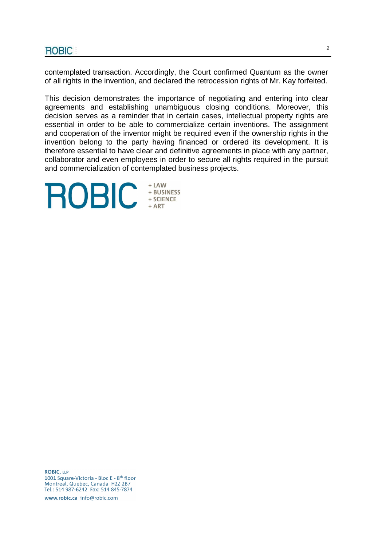contemplated transaction. Accordingly, the Court confirmed Quantum as the owner of all rights in the invention, and declared the retrocession rights of Mr. Kay forfeited.

This decision demonstrates the importance of negotiating and entering into clear agreements and establishing unambiguous closing conditions. Moreover, this decision serves as a reminder that in certain cases, intellectual property rights are essential in order to be able to commercialize certain inventions. The assignment and cooperation of the inventor might be required even if the ownership rights in the invention belong to the party having financed or ordered its development. It is therefore essential to have clear and definitive agreements in place with any partner, collaborator and even employees in order to secure all rights required in the pursuit and commercialization of contemplated business projects.

+ LAW **ROBIC EXPLORED PROBLEM** 

**ROBIC, LLP** 1001 Square-Victoria - Bloc E - 8<sup>th</sup> floor Montreal, Quebec, Canada H2Z 2B7<br>Tel.: 514 987-6242 Fax: 514 845-7874

www.robic.ca info@robic.com